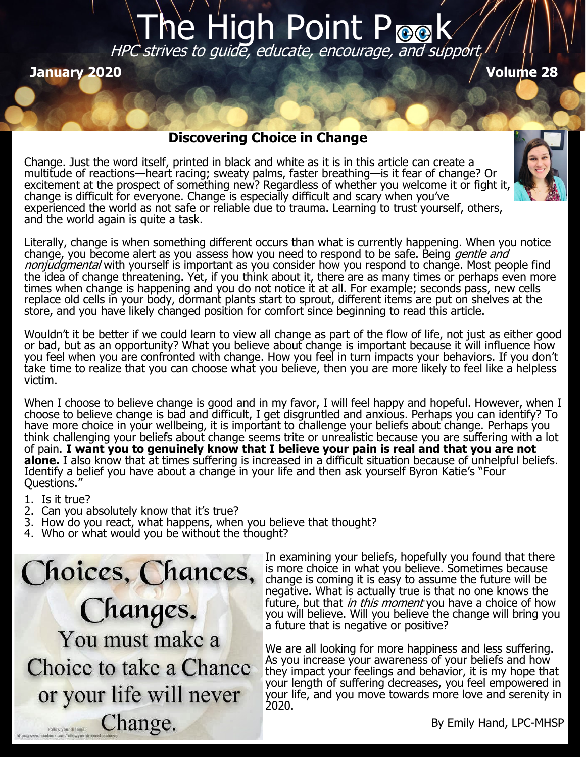# The High Point Pook HPC strives to guide, educate, encourage, and support

**January 2020 Volume 28**

## **Discovering Choice in Change**

Change. Just the word itself, printed in black and white as it is in this article can create a multitude of reactions—heart racing; sweaty palms, faster breathing—is it fear of change? Or excitement at the prospect of something new? Regardless of whether you welcome it or fight it, change is difficult for everyone. Change is especially difficult and scary when you've experienced the world as not safe or reliable due to trauma. Learning to trust yourself, others, and the world again is quite a task.



Literally, change is when something different occurs than what is currently happening. When you notice change, you become alert as you assess how you need to respond to be safe. Being *gentle and* nonjudgmental with yourself is important as you consider how you respond to change. Most people find the idea of change threatening. Yet, if you think about it, there are as many times or perhaps even more times when change is happening and you do not notice it at all. For example; seconds pass, new cells replace old cells in your body, dormant plants start to sprout, different items are put on shelves at the store, and you have likely changed position for comfort since beginning to read this article.

Wouldn't it be better if we could learn to view all change as part of the flow of life, not just as either good or bad, but as an opportunity? What you believe about change is important because it will influence how you feel when you are confronted with change. How you feel in turn impacts your behaviors. If you don't take time to realize that you can choose what you believe, then you are more likely to feel like a helpless victim.

When I choose to believe change is good and in my favor, I will feel happy and hopeful. However, when I choose to believe change is bad and difficult, I get disgruntled and anxious. Perhaps you can identify? To have more choice in your wellbeing, it is important to challenge your beliefs about change. Perhaps you think challenging your beliefs about change seems trite or unrealistic because you are suffering with a lot of pain. **I want you to genuinely know that I believe your pain is real and that you are not alone.** I also know that at times suffering is increased in a difficult situation because of unhelpful beliefs. Identify a belief you have about a change in your life and then ask yourself Byron Katie's "Four Questions."

1. Is it true?

- 2. Can you absolutely know that it's true?
- 3. How do you react, what happens, when you believe that thought?
- 4. Who or what would you be without the thought?

Choices, Chances, Changes. You must make a Choice to take a Chance or your life will never Change. Follow your dreams

In examining your beliefs, hopefully you found that there is more choice in what you believe. Sometimes because change is coming it is easy to assume the future will be negative. What is actually true is that no one knows the future, but that *in this moment* you have a choice of how you will believe. Will you believe the change will bring you a future that is negative or positive?

We are all looking for more happiness and less suffering. As you increase your awareness of your beliefs and how they impact your feelings and behavior, it is my hope that your length of suffering decreases, you feel empowered in your life, and you move towards more love and serenity in 2020.